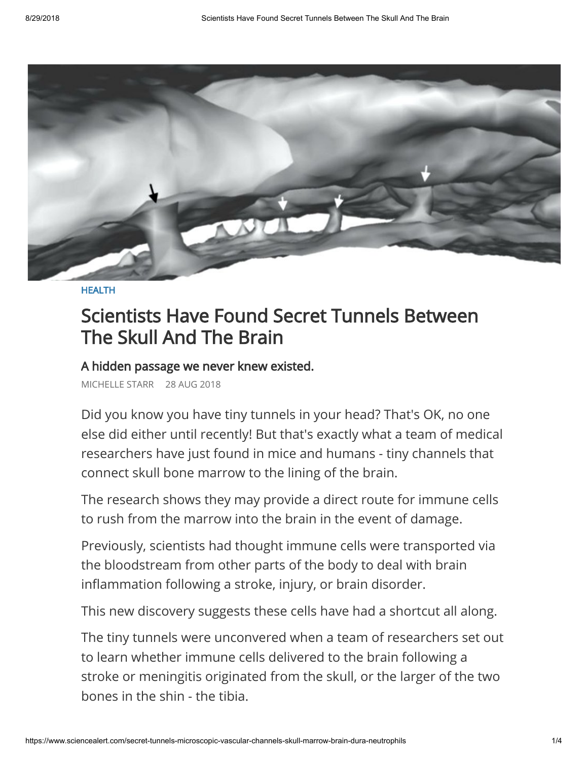

[HEALTH](https://www.sciencealert.com/health)

## Scientists Have Found Secret Tunnels Between The Skull And The Brain

## A hidden passage we never knew existed.

MICHELLE STARR 28 AUG 2018

Did you know you have tiny tunnels in your head? That's OK, no one else did either until recently! But that's exactly what a team of medical researchers have just found in mice and humans - tiny channels that connect skull bone marrow to the lining of the brain.

The research shows they may provide a direct route for immune cells to rush from the marrow into the brain in the event of damage.

Previously, scientists had thought immune cells were transported via the bloodstream from other parts of the body to deal with brain inflammation following a stroke, injury, or brain disorder.

This new discovery suggests these cells have had a shortcut all along.

The tiny tunnels were unconvered when a team of researchers set out to learn whether immune cells delivered to the brain following a stroke or meningitis originated from the skull, or the larger of the two bones in the shin - the tibia.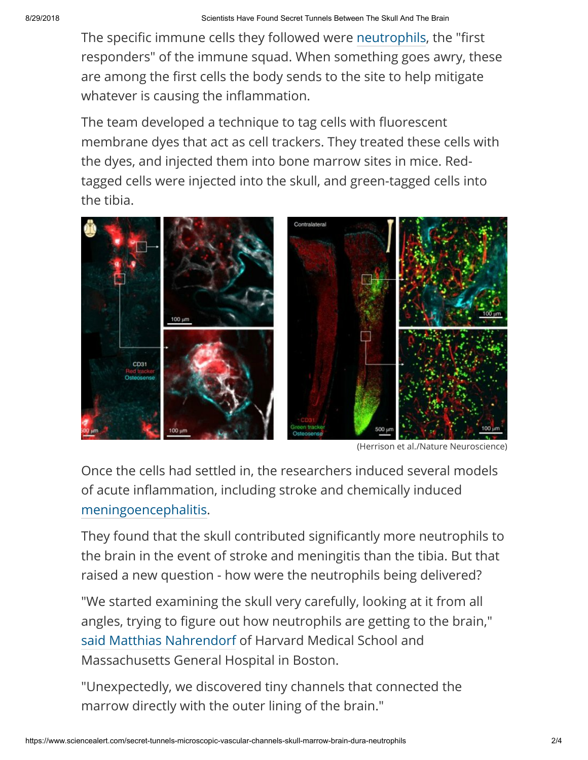The specific immune cells they followed were [neutrophils,](https://www.ncbi.nlm.nih.gov/pubmedhealth/PMHT0022058/) the "first responders" of the immune squad. When something goes awry, these are among the first cells the body sends to the site to help mitigate whatever is causing the inflammation.

The team developed a technique to tag cells with fluorescent membrane dyes that act as cell trackers. They treated these cells with the dyes, and injected them into bone marrow sites in mice. Redtagged cells were injected into the skull, and green-tagged cells into the tibia.



(Herrison et al./Nature Neuroscience)

Once the cells had settled in, the researchers induced several models of acute inflammation, including stroke and chemically induced [meningoencephalitis.](https://en.wikipedia.org/wiki/Meningoencephalitis)

They found that the skull contributed significantly more neutrophils to the brain in the event of stroke and meningitis than the tibia. But that raised a new question - how were the neutrophils being delivered?

"We started examining the skull very carefully, looking at it from all angles, trying to figure out how neutrophils are getting to the brain," [said Matthias Nahrendorf](https://www.nih.gov/news-events/news-releases/researchers-unearth-secret-tunnels-between-skull-brain) of Harvard Medical School and Massachusetts General Hospital in Boston.

"Unexpectedly, we discovered tiny channels that connected the marrow directly with the outer lining of the brain."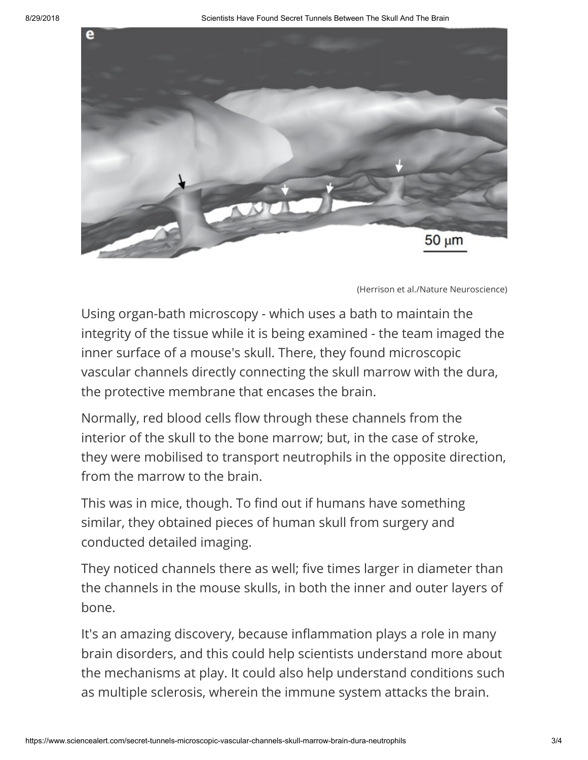

(Herrison et al./Nature Neuroscience)

Using organ-bath microscopy - which uses a bath to maintain the integrity of the tissue while it is being examined - the team imaged the inner surface of a mouse's skull. There, they found microscopic vascular channels directly connecting the skull marrow with the dura, the protective membrane that encases the brain.

Normally, red blood cells flow through these channels from the interior of the skull to the bone marrow; but, in the case of stroke, they were mobilised to transport neutrophils in the opposite direction, from the marrow to the brain.

This was in mice, though. To find out if humans have something similar, they obtained pieces of human skull from surgery and conducted detailed imaging.

They noticed channels there as well; five times larger in diameter than the channels in the mouse skulls, in both the inner and outer layers of bone.

It's an amazing discovery, because inflammation plays a role in many brain disorders, and this could help scientists understand more about the mechanisms at play. It could also help understand conditions such as multiple sclerosis, wherein the immune system attacks the brain.